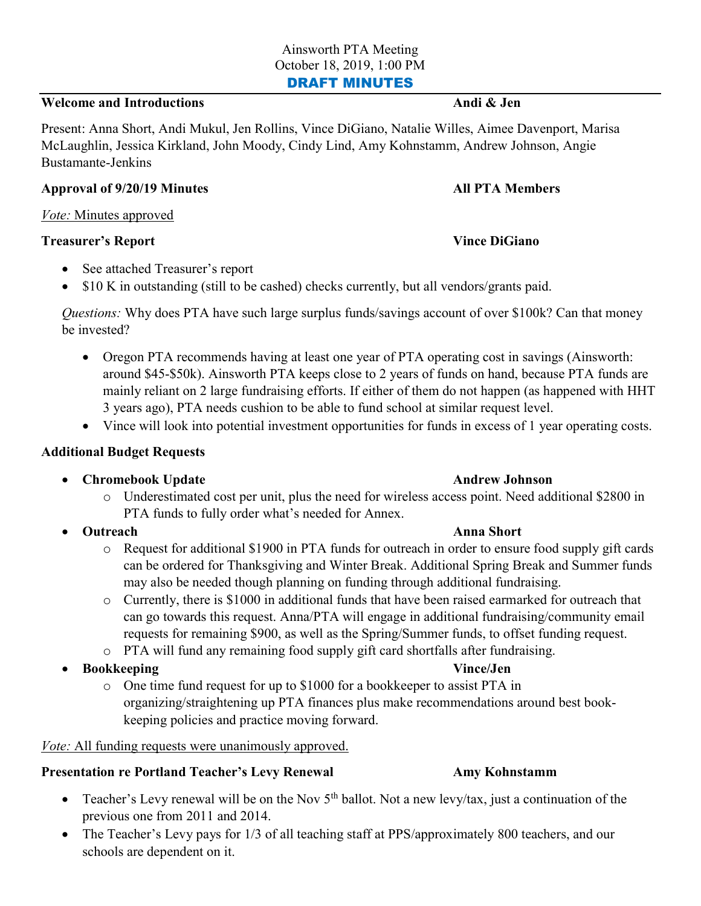## Welcome and Introductions Andi & Jen

Present: Anna Short, Andi Mukul, Jen Rollins, Vince DiGiano, Natalie Willes, Aimee Davenport, Marisa McLaughlin, Jessica Kirkland, John Moody, Cindy Lind, Amy Kohnstamm, Andrew Johnson, Angie Bustamante-Jenkins

#### Approval of 9/20/19 Minutes All PTA Members

## Vote: Minutes approved

#### **Treasurer's Report Communisties (Separate Architectus) Vince DiGiano**

- See attached Treasurer's report
- $\bullet$  \$10 K in outstanding (still to be cashed) checks currently, but all vendors/grants paid.

Questions: Why does PTA have such large surplus funds/savings account of over \$100k? Can that money be invested?

- Oregon PTA recommends having at least one year of PTA operating cost in savings (Ainsworth: around \$45-\$50k). Ainsworth PTA keeps close to 2 years of funds on hand, because PTA funds are mainly reliant on 2 large fundraising efforts. If either of them do not happen (as happened with HHT 3 years ago), PTA needs cushion to be able to fund school at similar request level.
- Vince will look into potential investment opportunities for funds in excess of 1 year operating costs.

# Additional Budget Requests

## • Chromebook Update **Andrew Johnson** Andrew Johnson

- o Underestimated cost per unit, plus the need for wireless access point. Need additional \$2800 in PTA funds to fully order what's needed for Annex.
- - o Request for additional \$1900 in PTA funds for outreach in order to ensure food supply gift cards can be ordered for Thanksgiving and Winter Break. Additional Spring Break and Summer funds may also be needed though planning on funding through additional fundraising.
	- o Currently, there is \$1000 in additional funds that have been raised earmarked for outreach that can go towards this request. Anna/PTA will engage in additional fundraising/community email requests for remaining \$900, as well as the Spring/Summer funds, to offset funding request.
	- o PTA will fund any remaining food supply gift card shortfalls after fundraising.
- Bookkeeping and the control of the control of the control of the control of the control of the control of the control of the control of the control of the control of the control of the control of the control of the control
	- o One time fund request for up to \$1000 for a bookkeeper to assist PTA in organizing/straightening up PTA finances plus make recommendations around best bookkeeping policies and practice moving forward.

## Vote: All funding requests were unanimously approved.

## Presentation re Portland Teacher's Levy Renewal Amy Kohnstamm

- Teacher's Levy renewal will be on the Nov  $5<sup>th</sup>$  ballot. Not a new levy/tax, just a continuation of the previous one from 2011 and 2014.
- The Teacher's Levy pays for 1/3 of all teaching staff at PPS/approximately 800 teachers, and our schools are dependent on it.

#### Outreach Anna Short

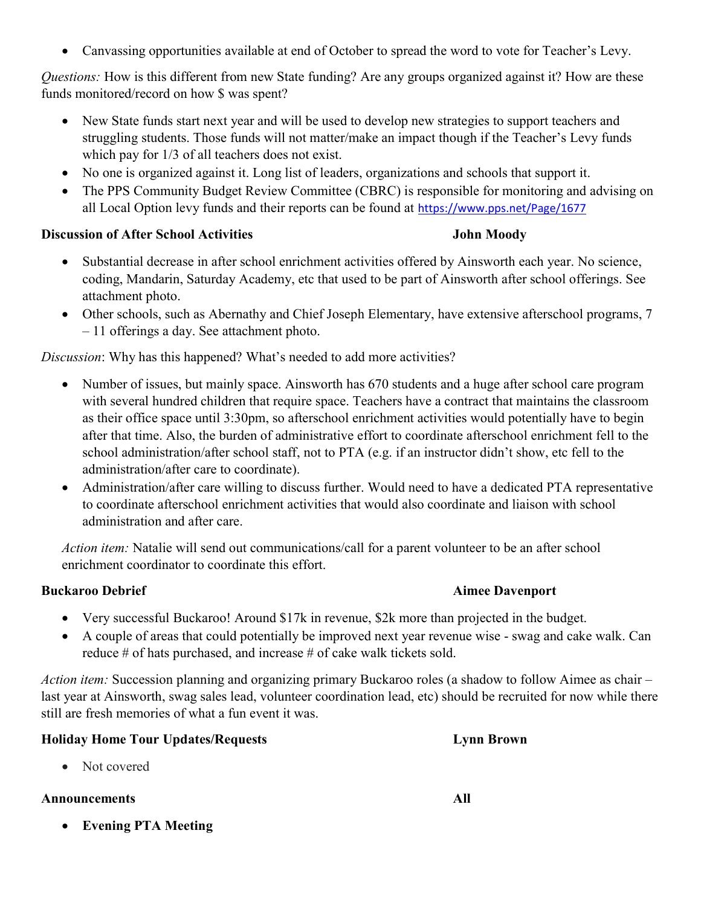Canvassing opportunities available at end of October to spread the word to vote for Teacher's Levy.

Questions: How is this different from new State funding? Are any groups organized against it? How are these funds monitored/record on how \$ was spent?

- New State funds start next year and will be used to develop new strategies to support teachers and struggling students. Those funds will not matter/make an impact though if the Teacher's Levy funds which pay for  $1/3$  of all teachers does not exist.
- No one is organized against it. Long list of leaders, organizations and schools that support it.
- The PPS Community Budget Review Committee (CBRC) is responsible for monitoring and advising on all Local Option levy funds and their reports can be found at https://www.pps.net/Page/1677

#### Discussion of After School Activities John Moody

- Substantial decrease in after school enrichment activities offered by Ainsworth each year. No science, coding, Mandarin, Saturday Academy, etc that used to be part of Ainsworth after school offerings. See attachment photo.
- Other schools, such as Abernathy and Chief Joseph Elementary, have extensive afterschool programs, 7 – 11 offerings a day. See attachment photo.

Discussion: Why has this happened? What's needed to add more activities?

- Number of issues, but mainly space. Ainsworth has 670 students and a huge after school care program with several hundred children that require space. Teachers have a contract that maintains the classroom as their office space until 3:30pm, so afterschool enrichment activities would potentially have to begin after that time. Also, the burden of administrative effort to coordinate afterschool enrichment fell to the school administration/after school staff, not to PTA (e.g. if an instructor didn't show, etc fell to the administration/after care to coordinate).
- Administration/after care willing to discuss further. Would need to have a dedicated PTA representative to coordinate afterschool enrichment activities that would also coordinate and liaison with school administration and after care.

Action item: Natalie will send out communications/call for a parent volunteer to be an after school enrichment coordinator to coordinate this effort.

# Buckaroo Debrief **Aimee Davenport** Aimee Davenport

- Very successful Buckaroo! Around \$17k in revenue, \$2k more than projected in the budget.
- A couple of areas that could potentially be improved next year revenue wise swag and cake walk. Can reduce # of hats purchased, and increase # of cake walk tickets sold.

Action item: Succession planning and organizing primary Buckaroo roles (a shadow to follow Aimee as chair – last year at Ainsworth, swag sales lead, volunteer coordination lead, etc) should be recruited for now while there still are fresh memories of what a fun event it was.

## Holiday Home Tour Updates/Requests Lynn Brown

• Not covered

## Announcements All

Evening PTA Meeting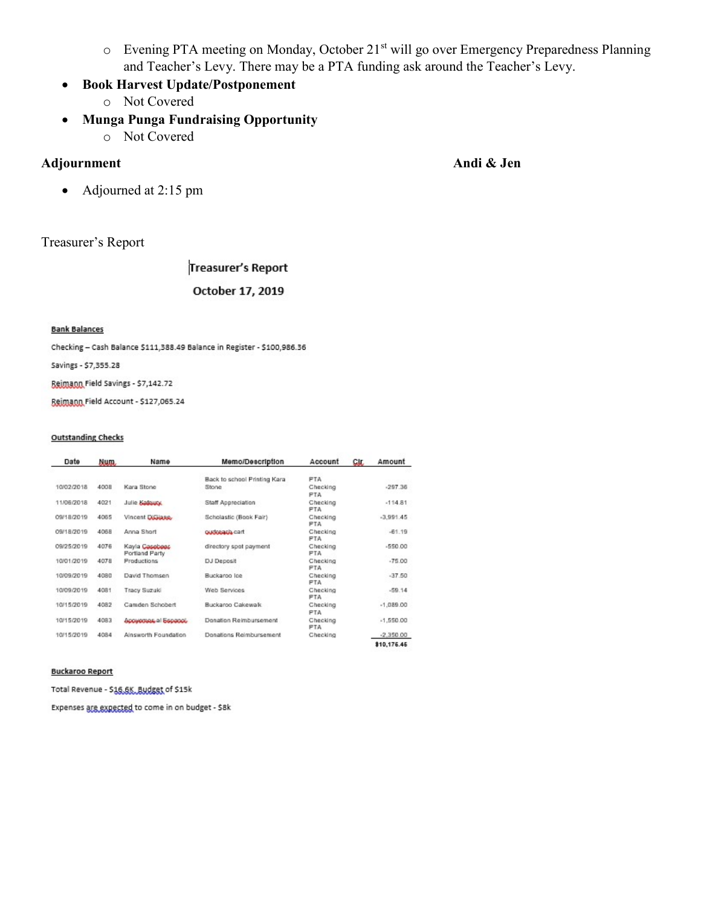- o Evening PTA meeting on Monday, October 21st will go over Emergency Preparedness Planning and Teacher's Levy. There may be a PTA funding ask around the Teacher's Levy.
- Book Harvest Update/Postponement
	- o Not Covered
- Munga Punga Fundraising Opportunity
	- o Not Covered

# Adjournment Andi & Jen

• Adjourned at 2:15 pm

# Treasurer's Report

**Treasurer's Report** 

#### October 17, 2019

#### **Bank Balances**

Checking - Cash Balance \$111,388.49 Balance in Register - \$100,986.36

Savings - \$7,355.28

Beimann Field Savings - \$7,142.72

Beimann Field Account - \$127,065.24

#### **Outstanding Checks**

| Date       | Mum. | Name                             | Memo/Description             | Account                | CIL.        | Amount      |
|------------|------|----------------------------------|------------------------------|------------------------|-------------|-------------|
|            |      |                                  | Back to school Printing Kara | PTA.                   |             |             |
| 10/02/2018 | 400B | Kara Stone                       | Stone                        | Checking<br>PTA.       |             | $-297.36$   |
| 11/05/2018 | 4021 | Julie Balturo,                   | Staff Appreciation           | Checking<br><b>PTA</b> |             | $-114.81$   |
| 09/18/2019 | 4065 | Vincent Dissiana.                | Scholastic (Book Fair)       | Checking<br>PTA.       | $-3.991.45$ |             |
| 09/18/2019 | 4068 | Anna Short                       | outteach cart                | Checking<br>PTA        |             | $-61.19$    |
| 09/25/2019 | 4076 | Kayla Casobees<br>Portland Party | directory spot payment       | Checking<br>PTA.       |             | $-550.00$   |
| 10/01/2019 | 4078 | Productions                      | DJ Deposit                   | Checking<br><b>PTA</b> |             | $-75.00$    |
| 10/09/2019 | 4080 | David Thomsen                    | Buckaroo loe                 | Checking<br>PTA.       |             | $-37.50$    |
| 10/09/2019 | 4081 | Tracy Suzuki                     | Web Services                 | Checking<br>PTA        |             |             |
| 10/15/2019 | 4082 | Camden Schobert                  | Buckaroo Cakewalk            | Checking<br>PTA        |             |             |
| 10/15/2019 | 4083 | <b>Apparentias al Espago).</b>   | Donation Reimbursement       | Checking<br><b>PTA</b> | $-1,550.00$ |             |
| 10/15/2019 | 4084 | Ainsworth Foundation             | Donations Reimbursement      | Checking               |             | $-2.350.00$ |
|            |      |                                  |                              |                        |             | \$10,176.45 |

#### **Buckaroo Report**

Total Revenue - \$15,5%, Budget of \$15k

Expenses are expected to come in on budget - \$8k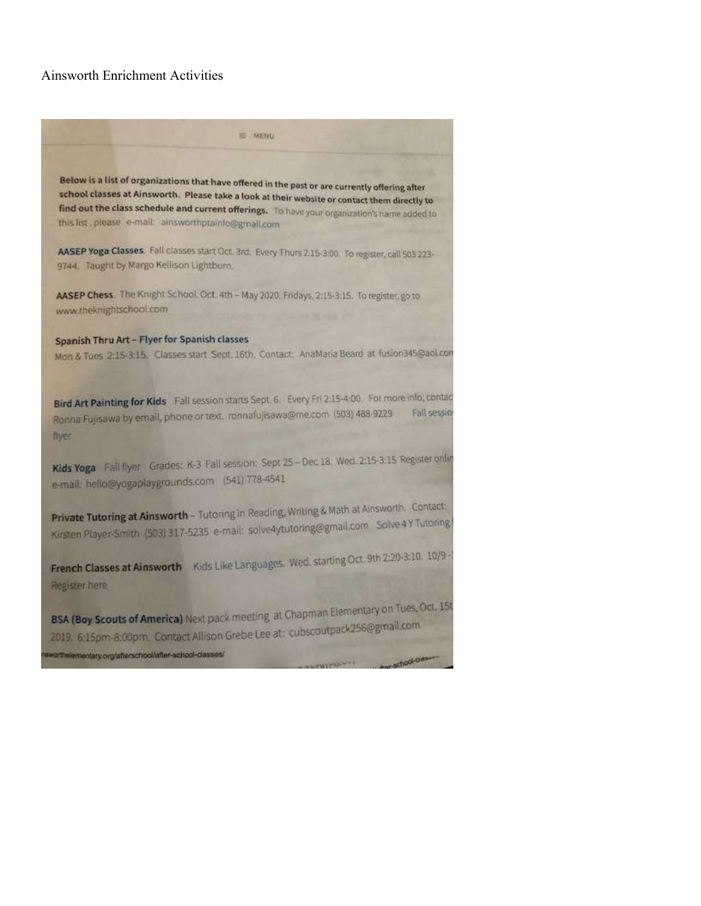#### Ainsworth Enrichment Activities

= MENU Below is a list of organizations that have offered in the past or are currently offering after school classes at Ainsworth. Please take a look at their website or contact them directly to find out the class schedule and current offerings. To have your organization's name added to this list, please e-mail: ainsworthptainfo@gmail.com AASEP Yoga Classes. Fall classes start Oct. 3rd. Every Thurs 2:15-3:00. To register, call 503 223-9744. Taught by Margo Kellison Lightburn. AASEP Chess. The Knight School. Oct. 4th - May 2020. Fridays, 2:15-3:15. To register, go to www.theknightschool.com Spanish Thru Art - Flyer for Spanish classes Mon & Tues 2:15-3:15. Classes start Sept. 16th. Contact: AnaMaria Beard at fusion345@aol.com Bird Art Painting for Kids Fall session starts Sept. 6. Every Fri 2:15-4:00. For more info; contact Ronna Fujisawa by email, phone or text. ronnafujisawa@me.com (503) 488-9229 Fall session fiver Kids Yoga Fall flyer Grades: K-3 Fall session: Sept 25 - Dec 18, Wed. 2:15-3:15 Register online e-mail: hello@yogaplaygrounds.com (541) 778-4541 **Private Tutoring at Ainsworth - Tutoring in Reading, Writing & Math at Ainsworth. Contact:** Private Tutoring at Ainsworth - Tutoring in Resumer Companies Solve 4 Y Tutoring French Classes at Ainsworth Kids Like Languages, Wed. starting Oct. 9th 2:20-3:10, 10/9 -Register here

BSA (Boy Scouts of America) Next pack meeting at Chapman Elementary on Tues, Oct. 15t BSA (Boy Scouts of America) Next pack meeting of Chap.<br>2019. 6:15pm-8:00pm. Contact Allison Grebe Lee at: cubscoutpack256@gmail.com crthelementary.org/afterschool/after-school-classes/ school-own-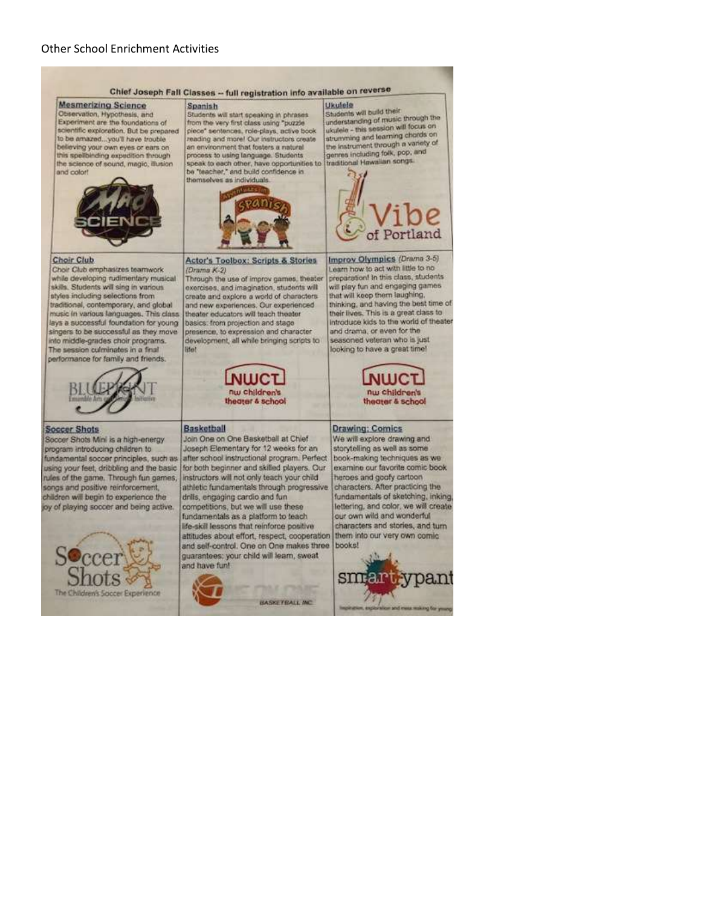#### Chief Joseph Fall Classes -- full registration info available on reverse

Students will start speaking in phrases

from the very first class using "puzzle

Spanish

**Mesmerizing Science** Observation, Hypothesis, and Experiment are the foundations of scientific exploration. But be prepared to be amazed... you'll have trouble believing your own eyes or ears on this spelbinding expedition through the science of sound, magic, illusion and color!





**Choir Club** 

Choir Club amphasizes teamwork while developing rudimentary musical skills. Students will sing in various styles including selections from traditional, contemporary, and global music in various languages. This class lays a successful foundation for young singers to be successful as they move into middle-grades choir programs. The session culminates in a final performance for family and friends.



#### **Soccer Shots**

Soccer Shots Mini is a high-energy program introducing children to fundamental soccer principles, such as using your feet, dribbling and the basic rules of the game. Through fun games, songs and positive reinforcement. children will begin to experience the joy of playing soccer and being active.



**Actor's Toolbox: Scripts & Stories** (Drama K-2) Through the use of improv games, theater

exercises, and imagination, students will create and explore a world of characters. and new experiences. Our experienced theater educators will teach theater basics: from projection and stage presence, to expression and character development, all while bringing scripts to



#### Basketball

**Bfelt** 

Join One on One Basketball at Chief Joseph Elementary for 12 weeks for an after school instructional program. Perfect for both beginner and skilled players. Our instructors will not only teach your child athletic fundamentals through progressive drills, engaging cardio and fun competitions, but we will use these

fundamentals as a platform to teach life-skill lessons that reinforce positive attitudes about effort, respect, cooperation and self-control. One on One makes three quarantees: your child will learn, sweat and have fun!

# **HASSETRALL INC.**

Ukulele Students will build their understanding of music through the ukutele - this session will focus on<br>strumming and learning chords on the instrument through a variety of<br>genres including folk, pop, and traditional Hawaiian songs.



Improv Olympics (Drama 3-5) Learn how to act with little to no preparation! In this class, students will play fun and engaging games that will keep them laughing, thinking, and having the best time of their lives. This is a great class to introduce kids to the world of theater and drama, or even for the seasoned veteran who is just looking to have a great time!



#### **Drawing: Comics**

We will explore drawing and storytelling as well as some book-making techniques as we examine our favorite comic book heroes and goofy cartoon characters. After practicing the fundamentals of sketching, inking, lettering, and color, we will create our own wild and wonderful characters and stories, and turn them into our very own comic books!